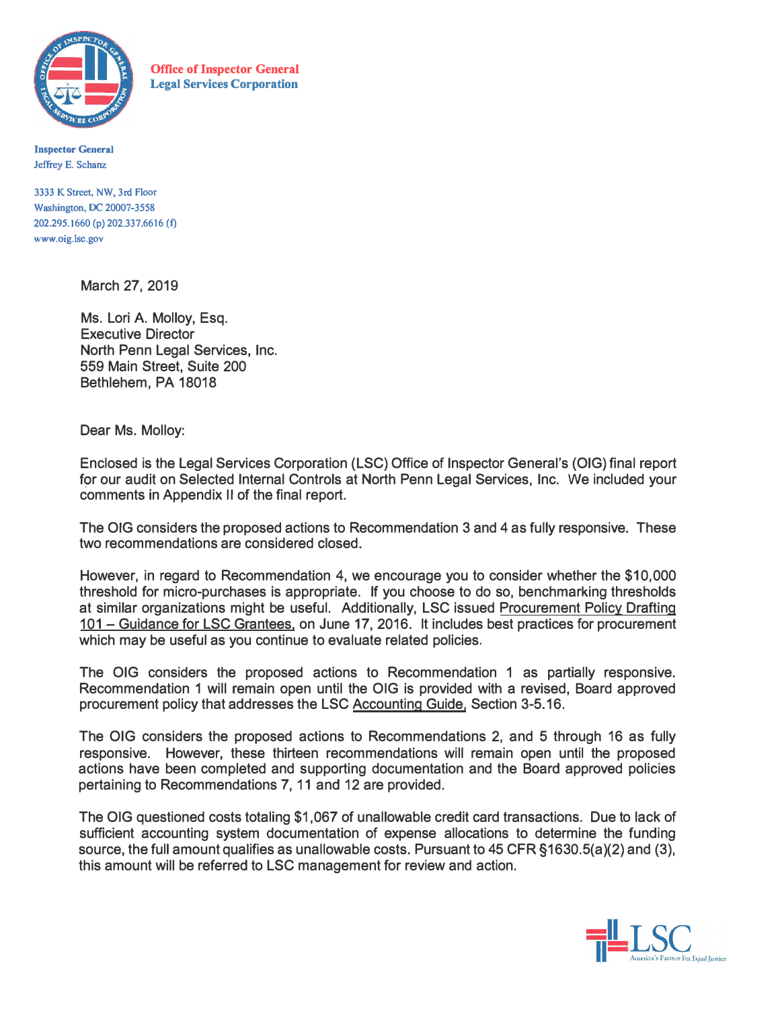

**Office of Inspector General Legal Services Corporation** 

**Inspector General Jeffrey E. Schanz** 

**3333 K Street, NW, 3rd Floor Washington, DC 20007-3558 202.295.1660 (p) 202.337.6616 (f) www.oig.lsc.gov** 

March 27, 2019

Ms. Lori A. Molloy, Esq. Executive Director North Penn Legal Services, Inc. 559 Main Street, Suite 200 Bethlehem, PA 18018

Dear Ms. Molloy:

Enclosed is the Legal Services Corporation (LSC) Office of Inspector General's (OIG) final report for our audit on Selected Internal Controls at North Penn Legal Services, Inc. We included your comments in Appendix II of the final report.

The OIG considers the proposed actions to Recommendation 3 and 4 as fully responsive. These two recommendations are considered closed.

However, in regard to Recommendation 4, we encourage you to consider whether the \$10,000 threshold for micro-purchases is appropriate. If you choose to do so, benchmarking thresholds at similar organizations might be useful. Additionally, LSC issued Procurement Policy Drafting 101 - Guidance for LSC Grantees, on June 17, 2016. It includes best practices for procurement which may be useful as you continue to evaluate related policies.

The OIG considers the proposed actions to Recommendation 1 as partially responsive. Recommendation 1 will remain open until the OIG is provided with a revised, Board approved procurement policy that addresses the LSC Accounting Guide, Section 3-5.16.

The OIG considers the proposed actions to Recommendations 2, and 5 through 16 as fully responsive. However, these thirteen recommendations will remain open until the proposed actions have been completed and supporting documentation and the Board approved policies pertaining to Recommendations 7, 11 and 12 are provided.

The OIG questioned costs totaling \$1,067 of unallowable credit card transactions. Due to lack of sufficient accounting system documentation of expense allocations to determine the funding source, the full amount qualifies as unallowable costs. Pursuant to 45 CFR §1630.5(a)(2) and (3), this amount will be referred to LSC management for review and action.

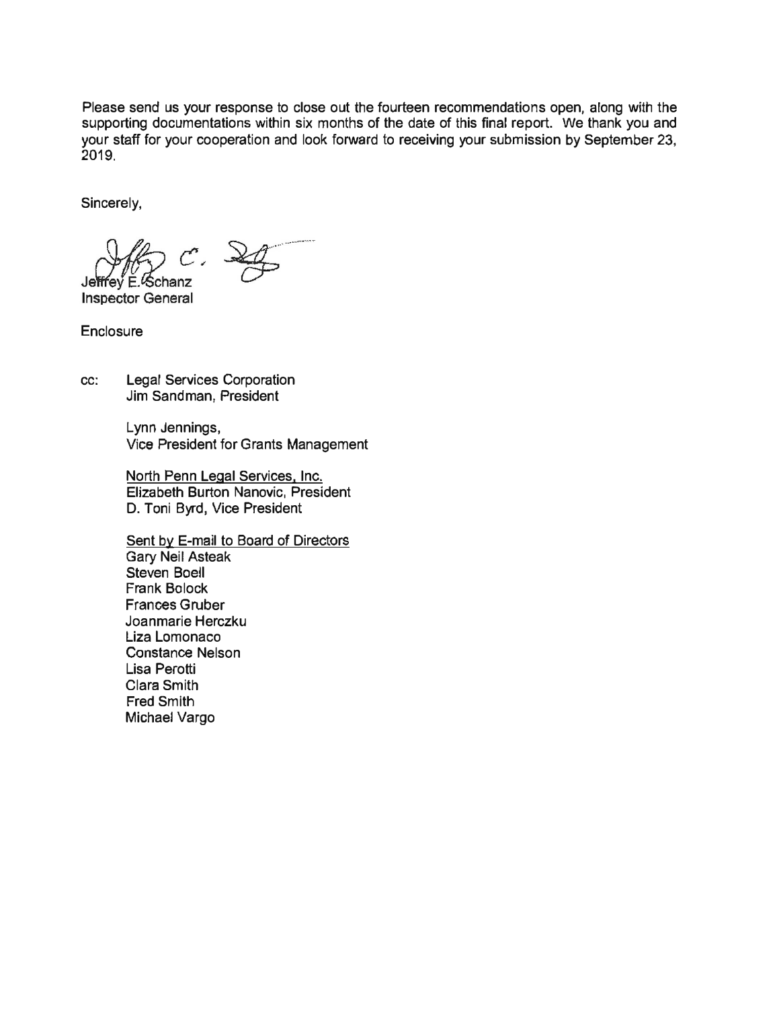Please send us your response to close out the fourteen recommendations open, along with the supporting documentations within six months of the date of this final report. We thank you and your staff for your cooperation and look forward to receiving your submission by September 23, **2019.** 

Sincerely,

Schanz

**Inspector General** 

**Enclosure** 

cc: Legal Services Corporation Jim Sandman, President

> Lynn Jennings, Vice President for Grants Management

North Penn Legal Services, Inc. Elizabeth Burton Nanovic, President D. Toni Byrd, Vice President

Sent by E-mail to Board of Directors Gary Neil Asteak Steven Boell Frank Balock Frances Gruber Joanmarie Herczku Liza Lomonaco Constance Nelson Lisa Perotti Clara Smith Fred Smith Michael Vargo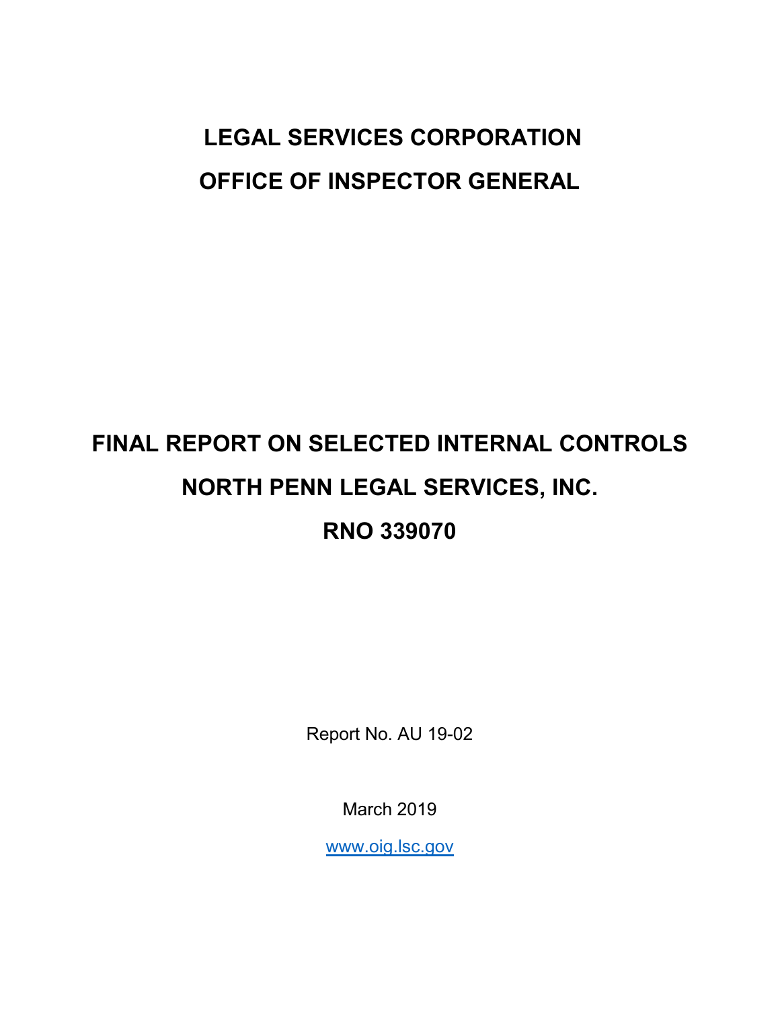# **LEGAL SERVICES CORPORATION OFFICE OF INSPECTOR GENERAL**

# **FINAL REPORT ON SELECTED INTERNAL CONTROLS NORTH PENN LEGAL SERVICES, INC. RNO 339070**

Report No. AU 19-02

March 2019

[www.oig.lsc.gov](http://www.oig.lsc.gov/)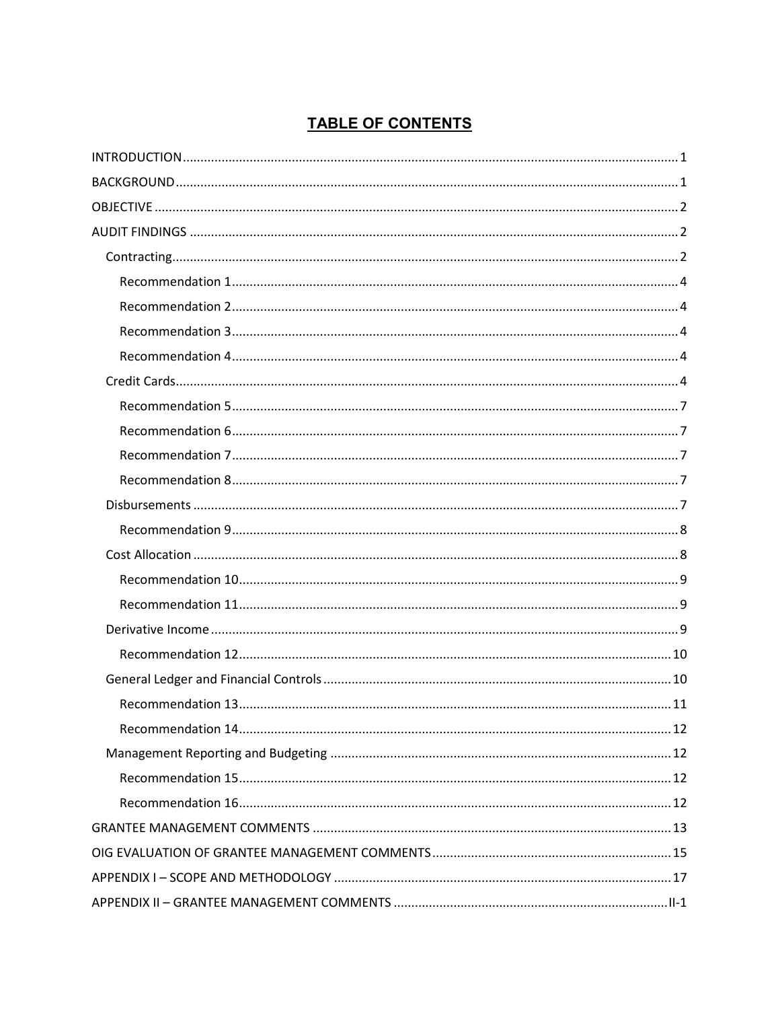# **TABLE OF CONTENTS**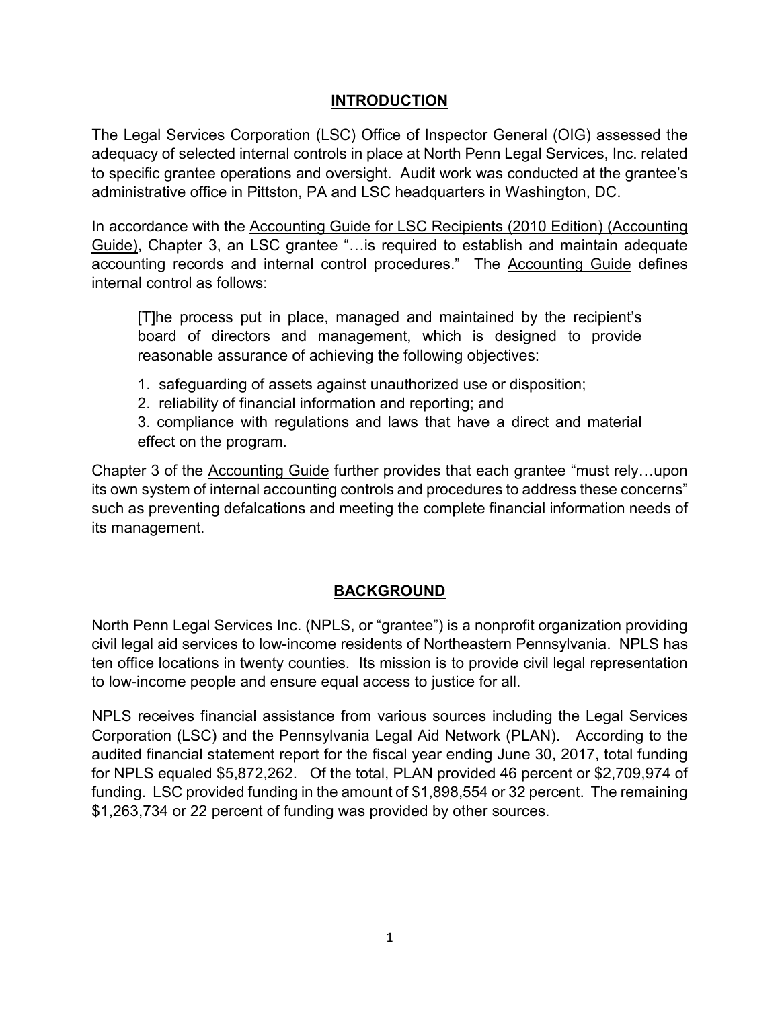# **INTRODUCTION**

<span id="page-4-0"></span>The Legal Services Corporation (LSC) Office of Inspector General (OIG) assessed the adequacy of selected internal controls in place at North Penn Legal Services, Inc. related to specific grantee operations and oversight. Audit work was conducted at the grantee's administrative office in Pittston, PA and LSC headquarters in Washington, DC.

In accordance with the Accounting Guide for LSC Recipients (2010 Edition) (Accounting Guide), Chapter 3, an LSC grantee "…is required to establish and maintain adequate accounting records and internal control procedures." The Accounting Guide defines internal control as follows:

[T]he process put in place, managed and maintained by the recipient's board of directors and management, which is designed to provide reasonable assurance of achieving the following objectives:

- 1. safeguarding of assets against unauthorized use or disposition;
- 2. reliability of financial information and reporting; and

3. compliance with regulations and laws that have a direct and material effect on the program.

Chapter 3 of the Accounting Guide further provides that each grantee "must rely…upon its own system of internal accounting controls and procedures to address these concerns" such as preventing defalcations and meeting the complete financial information needs of its management.

# **BACKGROUND**

<span id="page-4-1"></span>North Penn Legal Services Inc. (NPLS, or "grantee") is a nonprofit organization providing civil legal aid services to low-income residents of Northeastern Pennsylvania. NPLS has ten office locations in twenty counties. Its mission is to provide civil legal representation to low-income people and ensure equal access to justice for all.

NPLS receives financial assistance from various sources including the Legal Services Corporation (LSC) and the Pennsylvania Legal Aid Network (PLAN). According to the audited financial statement report for the fiscal year ending June 30, 2017, total funding for NPLS equaled \$5,872,262. Of the total, PLAN provided 46 percent or \$2,709,974 of funding. LSC provided funding in the amount of \$1,898,554 or 32 percent. The remaining \$1,263,734 or 22 percent of funding was provided by other sources.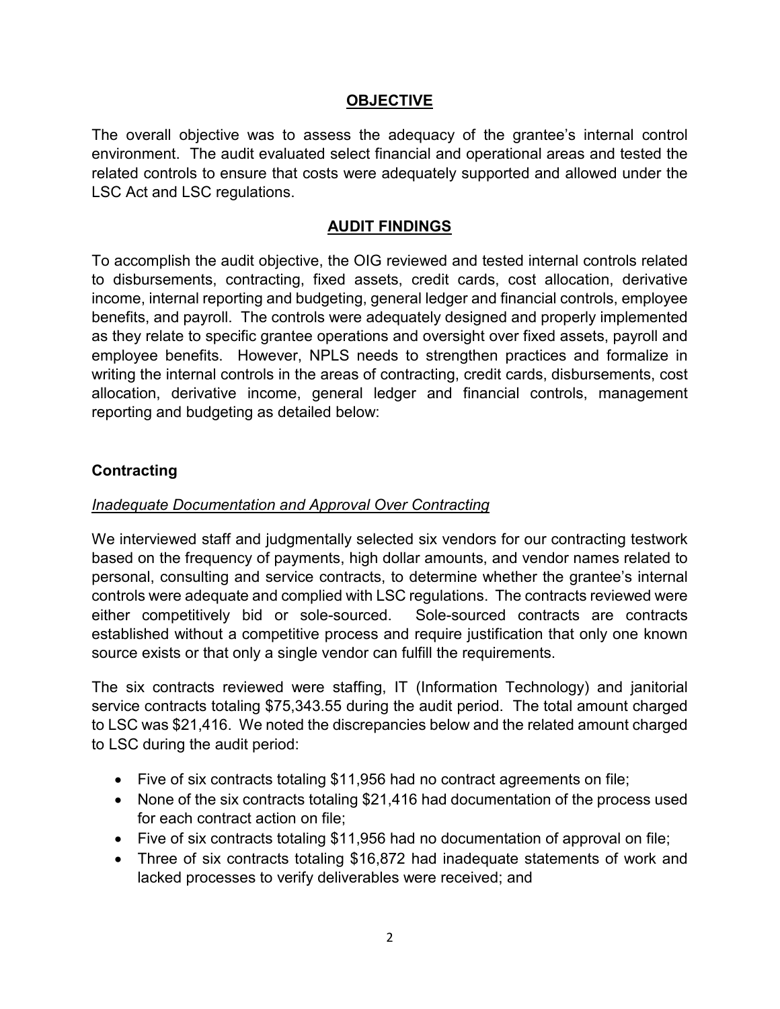# **OBJECTIVE**

<span id="page-5-0"></span>The overall objective was to assess the adequacy of the grantee's internal control environment. The audit evaluated select financial and operational areas and tested the related controls to ensure that costs were adequately supported and allowed under the LSC Act and LSC regulations.

#### **AUDIT FINDINGS**

<span id="page-5-1"></span>To accomplish the audit objective, the OIG reviewed and tested internal controls related to disbursements, contracting, fixed assets, credit cards, cost allocation, derivative income, internal reporting and budgeting, general ledger and financial controls, employee benefits, and payroll. The controls were adequately designed and properly implemented as they relate to specific grantee operations and oversight over fixed assets, payroll and employee benefits. However, NPLS needs to strengthen practices and formalize in writing the internal controls in the areas of contracting, credit cards, disbursements, cost allocation, derivative income, general ledger and financial controls, management reporting and budgeting as detailed below:

#### <span id="page-5-2"></span>**Contracting**

#### *Inadequate Documentation and Approval Over Contracting*

We interviewed staff and judgmentally selected six vendors for our contracting testwork based on the frequency of payments, high dollar amounts, and vendor names related to personal, consulting and service contracts, to determine whether the grantee's internal controls were adequate and complied with LSC regulations. The contracts reviewed were either competitively bid or sole-sourced. Sole-sourced contracts are contracts established without a competitive process and require justification that only one known source exists or that only a single vendor can fulfill the requirements.

The six contracts reviewed were staffing, IT (Information Technology) and janitorial service contracts totaling \$75,343.55 during the audit period. The total amount charged to LSC was \$21,416. We noted the discrepancies below and the related amount charged to LSC during the audit period:

- Five of six contracts totaling \$11,956 had no contract agreements on file;
- None of the six contracts totaling \$21,416 had documentation of the process used for each contract action on file;
- Five of six contracts totaling \$11,956 had no documentation of approval on file;
- Three of six contracts totaling \$16,872 had inadequate statements of work and lacked processes to verify deliverables were received; and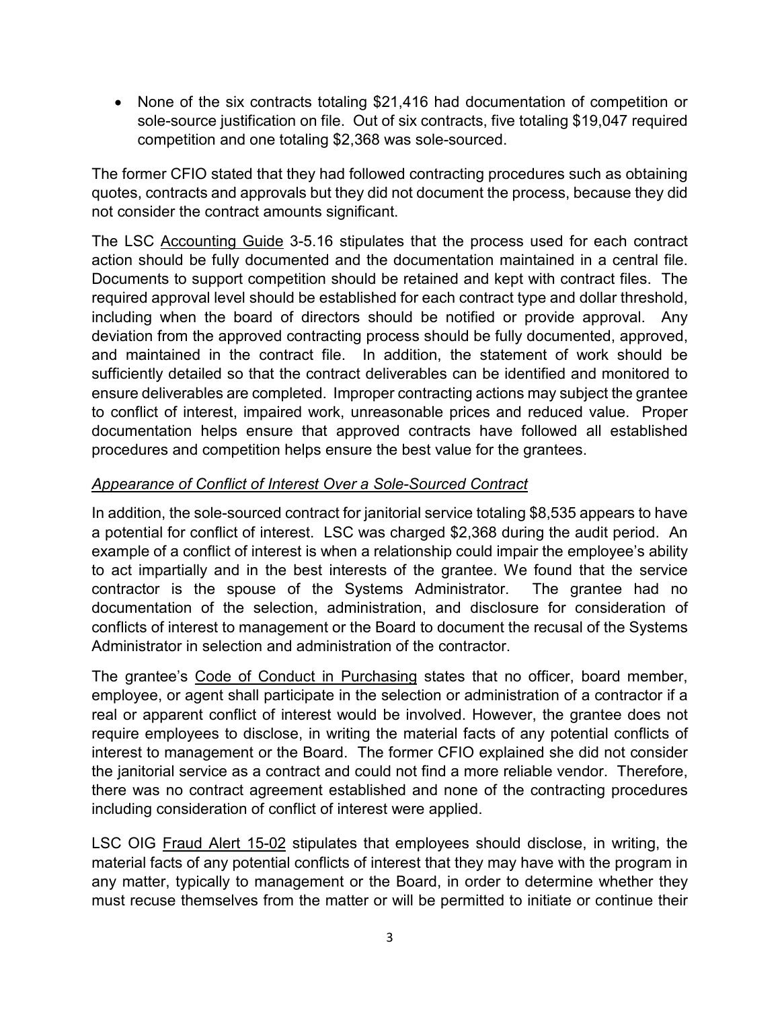• None of the six contracts totaling \$21,416 had documentation of competition or sole-source justification on file. Out of six contracts, five totaling \$19,047 required competition and one totaling \$2,368 was sole-sourced.

The former CFIO stated that they had followed contracting procedures such as obtaining quotes, contracts and approvals but they did not document the process, because they did not consider the contract amounts significant.

The LSC Accounting Guide 3-5.16 stipulates that the process used for each contract action should be fully documented and the documentation maintained in a central file. Documents to support competition should be retained and kept with contract files. The required approval level should be established for each contract type and dollar threshold, including when the board of directors should be notified or provide approval. Any deviation from the approved contracting process should be fully documented, approved, and maintained in the contract file. In addition, the statement of work should be sufficiently detailed so that the contract deliverables can be identified and monitored to ensure deliverables are completed. Improper contracting actions may subject the grantee to conflict of interest, impaired work, unreasonable prices and reduced value. Proper documentation helps ensure that approved contracts have followed all established procedures and competition helps ensure the best value for the grantees.

# *Appearance of Conflict of Interest Over a Sole-Sourced Contract*

In addition, the sole-sourced contract for janitorial service totaling \$8,535 appears to have a potential for conflict of interest. LSC was charged \$2,368 during the audit period. An example of a conflict of interest is when a relationship could impair the employee's ability to act impartially and in the best interests of the grantee. We found that the service contractor is the spouse of the Systems Administrator. The grantee had no documentation of the selection, administration, and disclosure for consideration of conflicts of interest to management or the Board to document the recusal of the Systems Administrator in selection and administration of the contractor.

The grantee's Code of Conduct in Purchasing states that no officer, board member, employee, or agent shall participate in the selection or administration of a contractor if a real or apparent conflict of interest would be involved. However, the grantee does not require employees to disclose, in writing the material facts of any potential conflicts of interest to management or the Board. The former CFIO explained she did not consider the janitorial service as a contract and could not find a more reliable vendor. Therefore, there was no contract agreement established and none of the contracting procedures including consideration of conflict of interest were applied.

LSC OIG Fraud Alert 15-02 stipulates that employees should disclose, in writing, the material facts of any potential conflicts of interest that they may have with the program in any matter, typically to management or the Board, in order to determine whether they must recuse themselves from the matter or will be permitted to initiate or continue their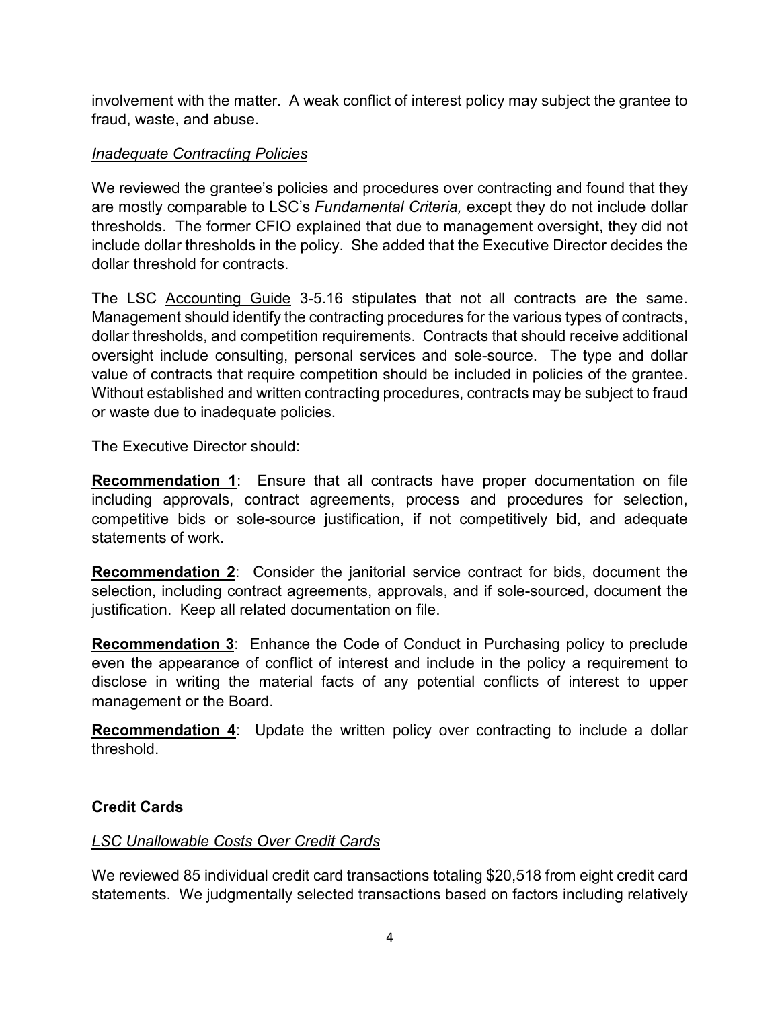involvement with the matter. A weak conflict of interest policy may subject the grantee to fraud, waste, and abuse.

### *Inadequate Contracting Policies*

We reviewed the grantee's policies and procedures over contracting and found that they are mostly comparable to LSC's *Fundamental Criteria,* except they do not include dollar thresholds. The former CFIO explained that due to management oversight, they did not include dollar thresholds in the policy. She added that the Executive Director decides the dollar threshold for contracts.

The LSC Accounting Guide 3-5.16 stipulates that not all contracts are the same. Management should identify the contracting procedures for the various types of contracts, dollar thresholds, and competition requirements. Contracts that should receive additional oversight include consulting, personal services and sole-source. The type and dollar value of contracts that require competition should be included in policies of the grantee. Without established and written contracting procedures, contracts may be subject to fraud or waste due to inadequate policies.

The Executive Director should:

<span id="page-7-0"></span>**Recommendation 1**: Ensure that all contracts have proper documentation on file including approvals, contract agreements, process and procedures for selection, competitive bids or sole-source justification, if not competitively bid, and adequate statements of work.

<span id="page-7-1"></span>**Recommendation 2**: Consider the janitorial service contract for bids, document the selection, including contract agreements, approvals, and if sole-sourced, document the justification. Keep all related documentation on file.

<span id="page-7-2"></span>**Recommendation 3**: Enhance the Code of Conduct in Purchasing policy to preclude even the appearance of conflict of interest and include in the policy a requirement to disclose in writing the material facts of any potential conflicts of interest to upper management or the Board.

<span id="page-7-3"></span>**Recommendation 4**: Update the written policy over contracting to include a dollar threshold.

# <span id="page-7-4"></span>**Credit Cards**

# *LSC Unallowable Costs Over Credit Cards*

We reviewed 85 individual credit card transactions totaling \$20,518 from eight credit card statements. We judgmentally selected transactions based on factors including relatively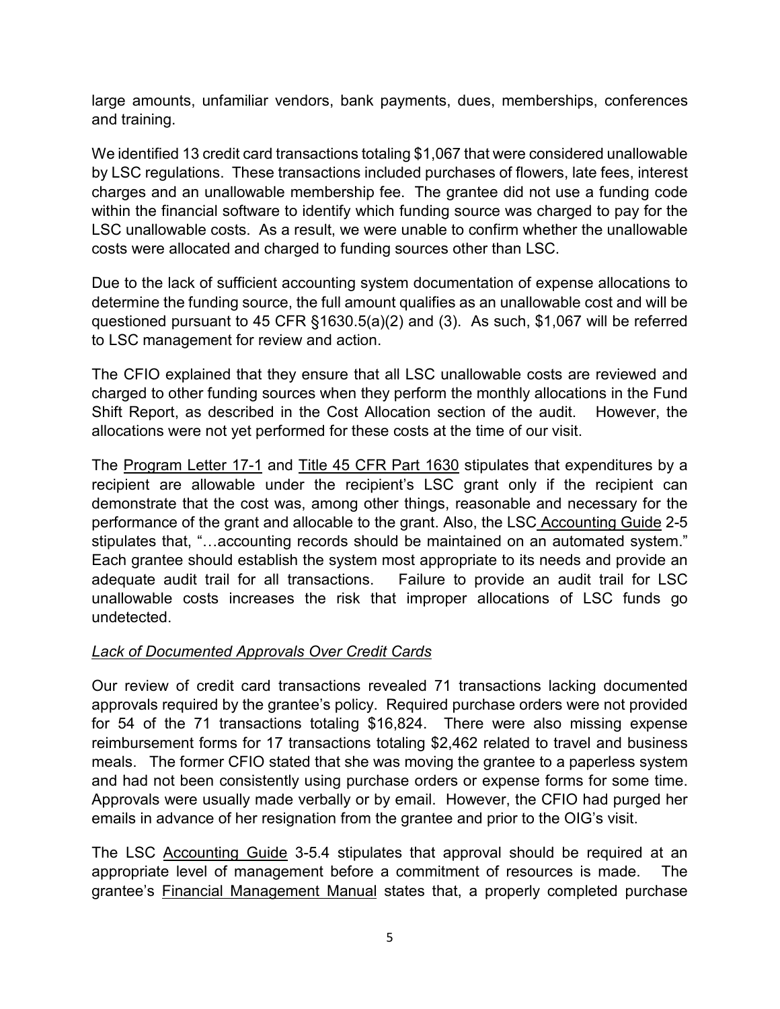large amounts, unfamiliar vendors, bank payments, dues, memberships, conferences and training.

We identified 13 credit card transactions totaling \$1,067 that were considered unallowable by LSC regulations. These transactions included purchases of flowers, late fees, interest charges and an unallowable membership fee. The grantee did not use a funding code within the financial software to identify which funding source was charged to pay for the LSC unallowable costs. As a result, we were unable to confirm whether the unallowable costs were allocated and charged to funding sources other than LSC.

Due to the lack of sufficient accounting system documentation of expense allocations to determine the funding source, the full amount qualifies as an unallowable cost and will be questioned pursuant to 45 CFR §1630.5(a)(2) and (3). As such, \$1,067 will be referred to LSC management for review and action.

The CFIO explained that they ensure that all LSC unallowable costs are reviewed and charged to other funding sources when they perform the monthly allocations in the Fund Shift Report, as described in the Cost Allocation section of the audit. However, the allocations were not yet performed for these costs at the time of our visit.

The Program Letter 17-1 and Title 45 CFR Part 1630 stipulates that expenditures by a recipient are allowable under the recipient's LSC grant only if the recipient can demonstrate that the cost was, among other things, reasonable and necessary for the performance of the grant and allocable to the grant. Also, the LSC Accounting Guide 2-5 stipulates that, "…accounting records should be maintained on an automated system." Each grantee should establish the system most appropriate to its needs and provide an adequate audit trail for all transactions. Failure to provide an audit trail for LSC unallowable costs increases the risk that improper allocations of LSC funds go undetected.

# *Lack of Documented Approvals Over Credit Cards*

Our review of credit card transactions revealed 71 transactions lacking documented approvals required by the grantee's policy. Required purchase orders were not provided for 54 of the 71 transactions totaling \$16,824. There were also missing expense reimbursement forms for 17 transactions totaling \$2,462 related to travel and business meals. The former CFIO stated that she was moving the grantee to a paperless system and had not been consistently using purchase orders or expense forms for some time. Approvals were usually made verbally or by email. However, the CFIO had purged her emails in advance of her resignation from the grantee and prior to the OIG's visit.

The LSC Accounting Guide 3-5.4 stipulates that approval should be required at an appropriate level of management before a commitment of resources is made. The grantee's Financial Management Manual states that, a properly completed purchase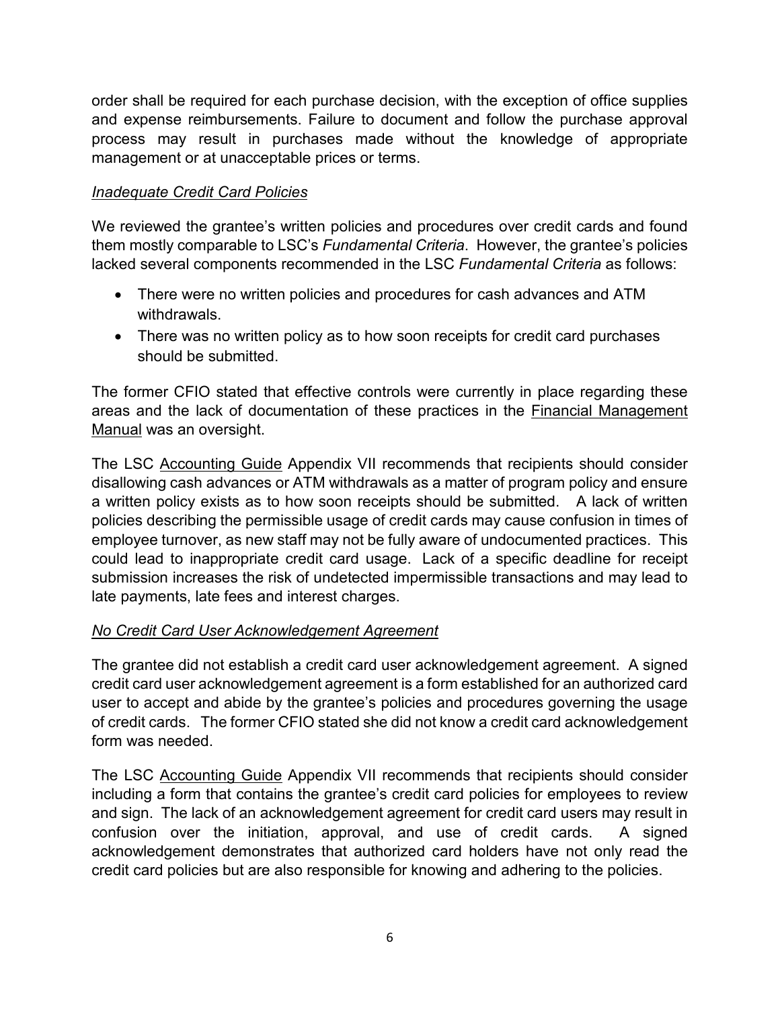order shall be required for each purchase decision, with the exception of office supplies and expense reimbursements. Failure to document and follow the purchase approval process may result in purchases made without the knowledge of appropriate management or at unacceptable prices or terms.

# *Inadequate Credit Card Policies*

We reviewed the grantee's written policies and procedures over credit cards and found them mostly comparable to LSC's *Fundamental Criteria*. However, the grantee's policies lacked several components recommended in the LSC *Fundamental Criteria* as follows:

- There were no written policies and procedures for cash advances and ATM withdrawals.
- There was no written policy as to how soon receipts for credit card purchases should be submitted.

The former CFIO stated that effective controls were currently in place regarding these areas and the lack of documentation of these practices in the Financial Management Manual was an oversight.

The LSC Accounting Guide Appendix VII recommends that recipients should consider disallowing cash advances or ATM withdrawals as a matter of program policy and ensure a written policy exists as to how soon receipts should be submitted. A lack of written policies describing the permissible usage of credit cards may cause confusion in times of employee turnover, as new staff may not be fully aware of undocumented practices. This could lead to inappropriate credit card usage. Lack of a specific deadline for receipt submission increases the risk of undetected impermissible transactions and may lead to late payments, late fees and interest charges.

# *No Credit Card User Acknowledgement Agreement*

The grantee did not establish a credit card user acknowledgement agreement. A signed credit card user acknowledgement agreement is a form established for an authorized card user to accept and abide by the grantee's policies and procedures governing the usage of credit cards. The former CFIO stated she did not know a credit card acknowledgement form was needed.

The LSC Accounting Guide Appendix VII recommends that recipients should consider including a form that contains the grantee's credit card policies for employees to review and sign. The lack of an acknowledgement agreement for credit card users may result in confusion over the initiation, approval, and use of credit cards. A signed acknowledgement demonstrates that authorized card holders have not only read the credit card policies but are also responsible for knowing and adhering to the policies.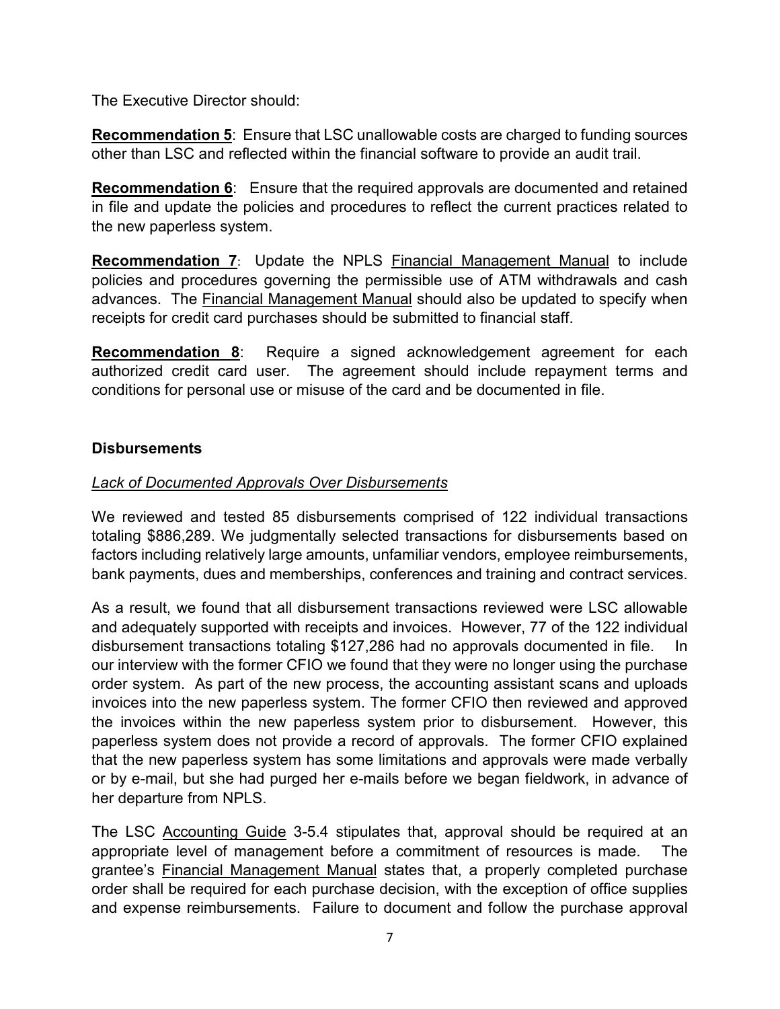The Executive Director should:

<span id="page-10-0"></span>**Recommendation 5**: Ensure that LSC unallowable costs are charged to funding sources other than LSC and reflected within the financial software to provide an audit trail.

<span id="page-10-1"></span>**Recommendation 6**: Ensure that the required approvals are documented and retained in file and update the policies and procedures to reflect the current practices related to the new paperless system.

<span id="page-10-2"></span>**Recommendation 7:** Update the NPLS Financial Management Manual to include policies and procedures governing the permissible use of ATM withdrawals and cash advances. The Financial Management Manual should also be updated to specify when receipts for credit card purchases should be submitted to financial staff.

<span id="page-10-3"></span>**Recommendation 8**: Require a signed acknowledgement agreement for each authorized credit card user. The agreement should include repayment terms and conditions for personal use or misuse of the card and be documented in file.

#### <span id="page-10-4"></span>**Disbursements**

#### *Lack of Documented Approvals Over Disbursements*

We reviewed and tested 85 disbursements comprised of 122 individual transactions totaling \$886,289. We judgmentally selected transactions for disbursements based on factors including relatively large amounts, unfamiliar vendors, employee reimbursements, bank payments, dues and memberships, conferences and training and contract services.

As a result, we found that all disbursement transactions reviewed were LSC allowable and adequately supported with receipts and invoices. However, 77 of the 122 individual disbursement transactions totaling \$127,286 had no approvals documented in file. In our interview with the former CFIO we found that they were no longer using the purchase order system. As part of the new process, the accounting assistant scans and uploads invoices into the new paperless system. The former CFIO then reviewed and approved the invoices within the new paperless system prior to disbursement. However, this paperless system does not provide a record of approvals. The former CFIO explained that the new paperless system has some limitations and approvals were made verbally or by e-mail, but she had purged her e-mails before we began fieldwork, in advance of her departure from NPLS.

The LSC Accounting Guide 3-5.4 stipulates that, approval should be required at an appropriate level of management before a commitment of resources is made. The grantee's Financial Management Manual states that, a properly completed purchase order shall be required for each purchase decision, with the exception of office supplies and expense reimbursements. Failure to document and follow the purchase approval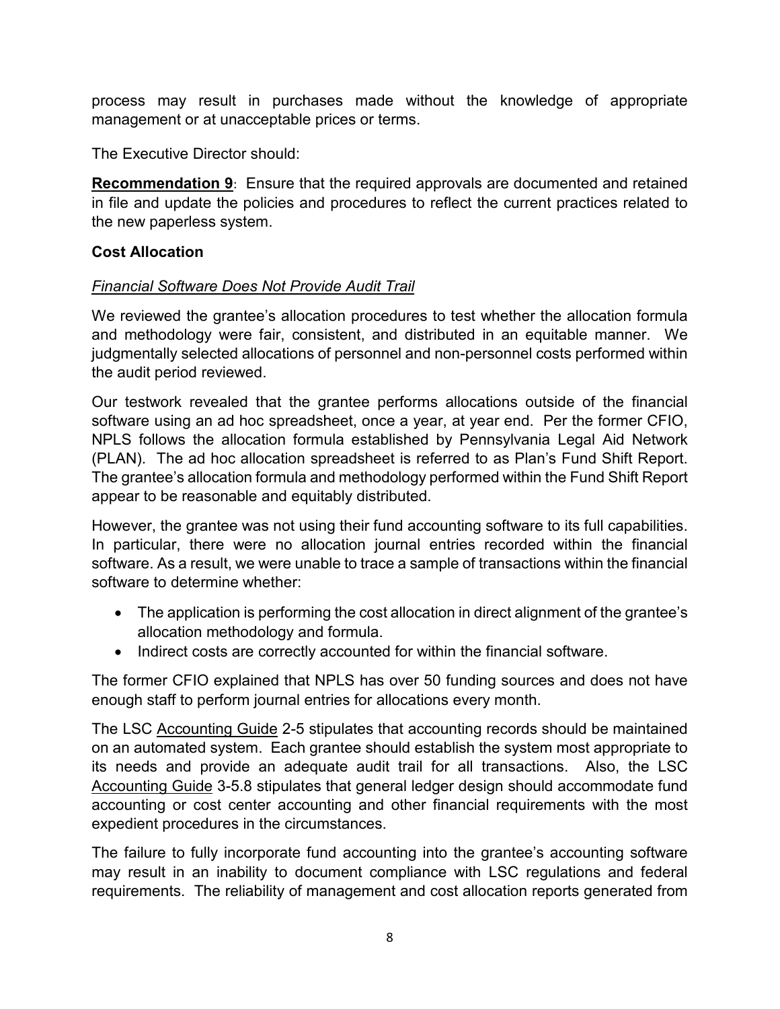process may result in purchases made without the knowledge of appropriate management or at unacceptable prices or terms.

The Executive Director should:

<span id="page-11-0"></span>**Recommendation 9**:Ensure that the required approvals are documented and retained in file and update the policies and procedures to reflect the current practices related to the new paperless system.

# <span id="page-11-1"></span>**Cost Allocation**

# *Financial Software Does Not Provide Audit Trail*

We reviewed the grantee's allocation procedures to test whether the allocation formula and methodology were fair, consistent, and distributed in an equitable manner. We judgmentally selected allocations of personnel and non-personnel costs performed within the audit period reviewed.

Our testwork revealed that the grantee performs allocations outside of the financial software using an ad hoc spreadsheet, once a year, at year end. Per the former CFIO, NPLS follows the allocation formula established by Pennsylvania Legal Aid Network (PLAN). The ad hoc allocation spreadsheet is referred to as Plan's Fund Shift Report. The grantee's allocation formula and methodology performed within the Fund Shift Report appear to be reasonable and equitably distributed.

However, the grantee was not using their fund accounting software to its full capabilities. In particular, there were no allocation journal entries recorded within the financial software. As a result, we were unable to trace a sample of transactions within the financial software to determine whether:

- The application is performing the cost allocation in direct alignment of the grantee's allocation methodology and formula.
- Indirect costs are correctly accounted for within the financial software.

The former CFIO explained that NPLS has over 50 funding sources and does not have enough staff to perform journal entries for allocations every month.

The LSC Accounting Guide 2-5 stipulates that accounting records should be maintained on an automated system. Each grantee should establish the system most appropriate to its needs and provide an adequate audit trail for all transactions. Also, the LSC Accounting Guide 3-5.8 stipulates that general ledger design should accommodate fund accounting or cost center accounting and other financial requirements with the most expedient procedures in the circumstances.

The failure to fully incorporate fund accounting into the grantee's accounting software may result in an inability to document compliance with LSC regulations and federal requirements. The reliability of management and cost allocation reports generated from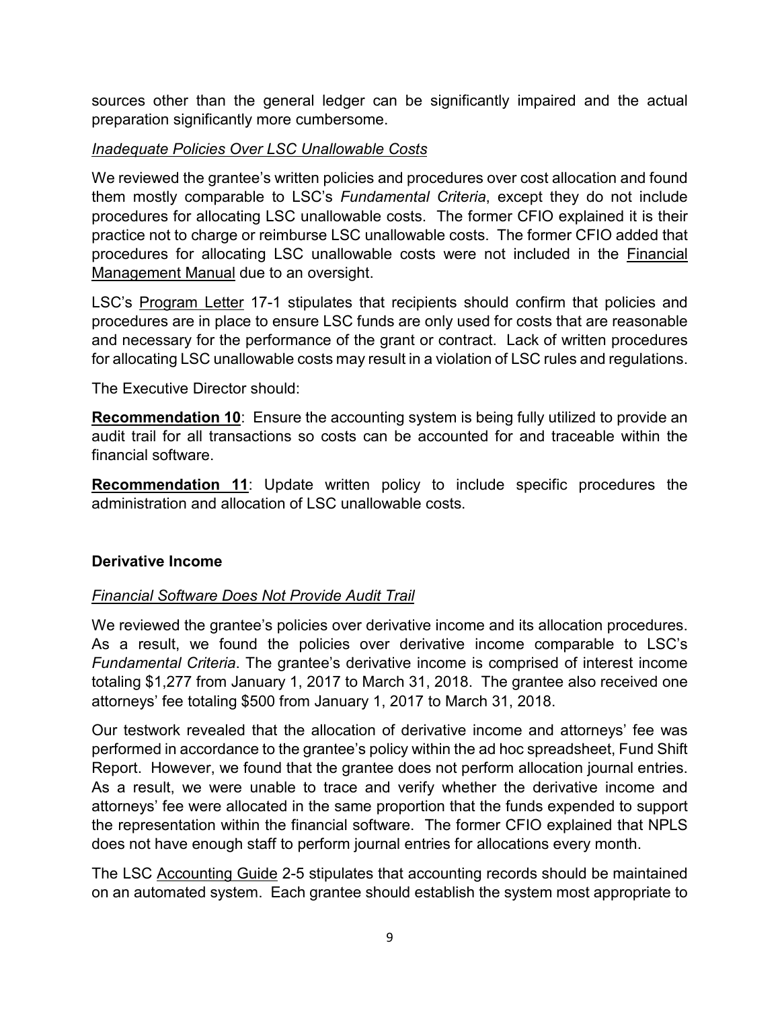sources other than the general ledger can be significantly impaired and the actual preparation significantly more cumbersome.

### *Inadequate Policies Over LSC Unallowable Costs*

We reviewed the grantee's written policies and procedures over cost allocation and found them mostly comparable to LSC's *Fundamental Criteria*, except they do not include procedures for allocating LSC unallowable costs. The former CFIO explained it is their practice not to charge or reimburse LSC unallowable costs. The former CFIO added that procedures for allocating LSC unallowable costs were not included in the Financial Management Manual due to an oversight.

LSC's Program Letter 17-1 stipulates that recipients should confirm that policies and procedures are in place to ensure LSC funds are only used for costs that are reasonable and necessary for the performance of the grant or contract. Lack of written procedures for allocating LSC unallowable costs may result in a violation of LSC rules and regulations.

The Executive Director should:

<span id="page-12-0"></span>**Recommendation 10:** Ensure the accounting system is being fully utilized to provide an audit trail for all transactions so costs can be accounted for and traceable within the financial software.

<span id="page-12-1"></span>**Recommendation 11**: Update written policy to include specific procedures the administration and allocation of LSC unallowable costs.

# <span id="page-12-2"></span>**Derivative Income**

# *Financial Software Does Not Provide Audit Trail*

We reviewed the grantee's policies over derivative income and its allocation procedures. As a result, we found the policies over derivative income comparable to LSC's *Fundamental Criteria*. The grantee's derivative income is comprised of interest income totaling \$1,277 from January 1, 2017 to March 31, 2018. The grantee also received one attorneys' fee totaling \$500 from January 1, 2017 to March 31, 2018.

Our testwork revealed that the allocation of derivative income and attorneys' fee was performed in accordance to the grantee's policy within the ad hoc spreadsheet, Fund Shift Report. However, we found that the grantee does not perform allocation journal entries. As a result, we were unable to trace and verify whether the derivative income and attorneys' fee were allocated in the same proportion that the funds expended to support the representation within the financial software. The former CFIO explained that NPLS does not have enough staff to perform journal entries for allocations every month.

The LSC Accounting Guide 2-5 stipulates that accounting records should be maintained on an automated system. Each grantee should establish the system most appropriate to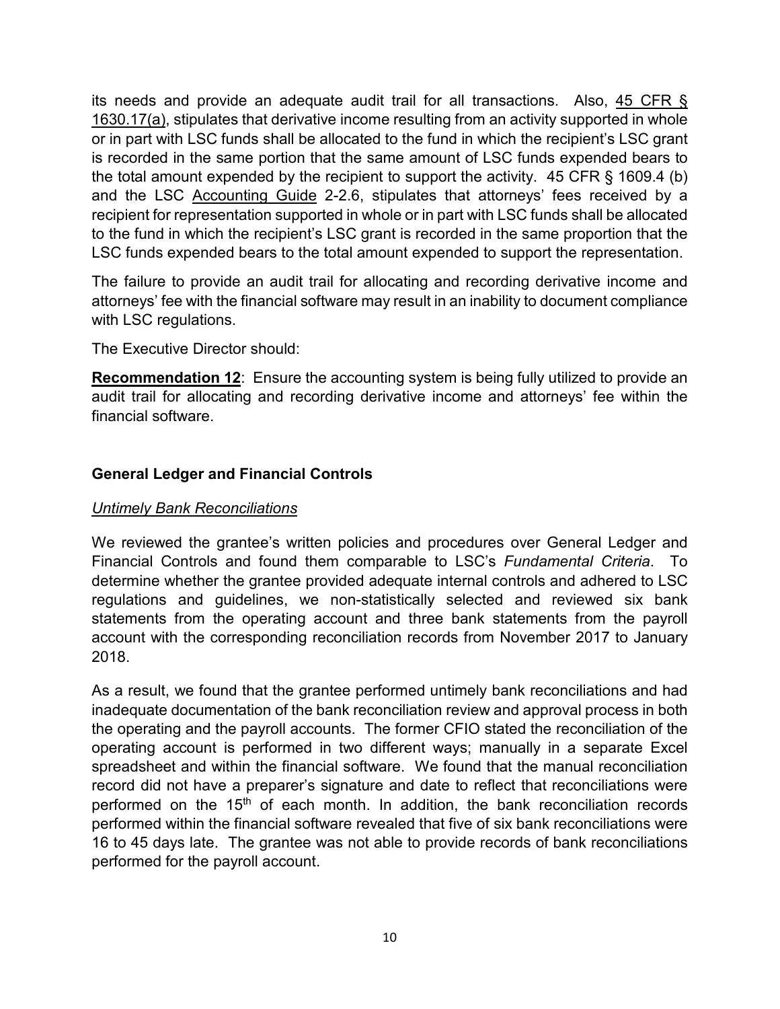its needs and provide an adequate audit trail for all transactions. Also, 45 CFR § 1630.17(a), stipulates that derivative income resulting from an activity supported in whole or in part with LSC funds shall be allocated to the fund in which the recipient's LSC grant is recorded in the same portion that the same amount of LSC funds expended bears to the total amount expended by the recipient to support the activity. 45 CFR § 1609.4 (b) and the LSC Accounting Guide 2-2.6, stipulates that attorneys' fees received by a recipient for representation supported in whole or in part with LSC funds shall be allocated to the fund in which the recipient's LSC grant is recorded in the same proportion that the LSC funds expended bears to the total amount expended to support the representation.

The failure to provide an audit trail for allocating and recording derivative income and attorneys' fee with the financial software may result in an inability to document compliance with LSC regulations.

The Executive Director should:

<span id="page-13-0"></span>**Recommendation 12**: Ensure the accounting system is being fully utilized to provide an audit trail for allocating and recording derivative income and attorneys' fee within the financial software.

#### <span id="page-13-1"></span>**General Ledger and Financial Controls**

#### *Untimely Bank Reconciliations*

We reviewed the grantee's written policies and procedures over General Ledger and Financial Controls and found them comparable to LSC's *Fundamental Criteria*. To determine whether the grantee provided adequate internal controls and adhered to LSC regulations and guidelines, we non-statistically selected and reviewed six bank statements from the operating account and three bank statements from the payroll account with the corresponding reconciliation records from November 2017 to January 2018.

As a result, we found that the grantee performed untimely bank reconciliations and had inadequate documentation of the bank reconciliation review and approval process in both the operating and the payroll accounts. The former CFIO stated the reconciliation of the operating account is performed in two different ways; manually in a separate Excel spreadsheet and within the financial software. We found that the manual reconciliation record did not have a preparer's signature and date to reflect that reconciliations were performed on the 15<sup>th</sup> of each month. In addition, the bank reconciliation records performed within the financial software revealed that five of six bank reconciliations were 16 to 45 days late. The grantee was not able to provide records of bank reconciliations performed for the payroll account.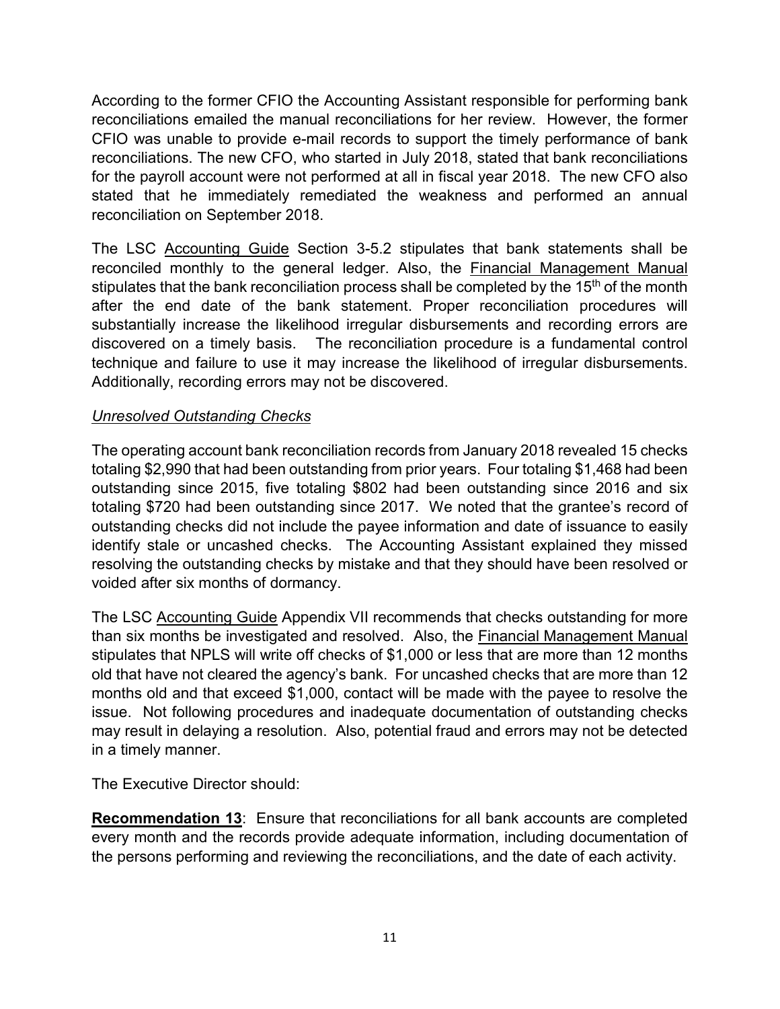According to the former CFIO the Accounting Assistant responsible for performing bank reconciliations emailed the manual reconciliations for her review. However, the former CFIO was unable to provide e-mail records to support the timely performance of bank reconciliations. The new CFO, who started in July 2018, stated that bank reconciliations for the payroll account were not performed at all in fiscal year 2018. The new CFO also stated that he immediately remediated the weakness and performed an annual reconciliation on September 2018.

The LSC Accounting Guide Section 3-5.2 stipulates that bank statements shall be reconciled monthly to the general ledger. Also, the Financial Management Manual stipulates that the bank reconciliation process shall be completed by the 15<sup>th</sup> of the month after the end date of the bank statement. Proper reconciliation procedures will substantially increase the likelihood irregular disbursements and recording errors are discovered on a timely basis. The reconciliation procedure is a fundamental control technique and failure to use it may increase the likelihood of irregular disbursements. Additionally, recording errors may not be discovered.

# *Unresolved Outstanding Checks*

The operating account bank reconciliation records from January 2018 revealed 15 checks totaling \$2,990 that had been outstanding from prior years. Four totaling \$1,468 had been outstanding since 2015, five totaling \$802 had been outstanding since 2016 and six totaling \$720 had been outstanding since 2017. We noted that the grantee's record of outstanding checks did not include the payee information and date of issuance to easily identify stale or uncashed checks. The Accounting Assistant explained they missed resolving the outstanding checks by mistake and that they should have been resolved or voided after six months of dormancy.

The LSC Accounting Guide Appendix VII recommends that checks outstanding for more than six months be investigated and resolved. Also, the Financial Management Manual stipulates that NPLS will write off checks of \$1,000 or less that are more than 12 months old that have not cleared the agency's bank. For uncashed checks that are more than 12 months old and that exceed \$1,000, contact will be made with the payee to resolve the issue. Not following procedures and inadequate documentation of outstanding checks may result in delaying a resolution. Also, potential fraud and errors may not be detected in a timely manner.

The Executive Director should:

<span id="page-14-0"></span>**Recommendation 13**: Ensure that reconciliations for all bank accounts are completed every month and the records provide adequate information, including documentation of the persons performing and reviewing the reconciliations, and the date of each activity.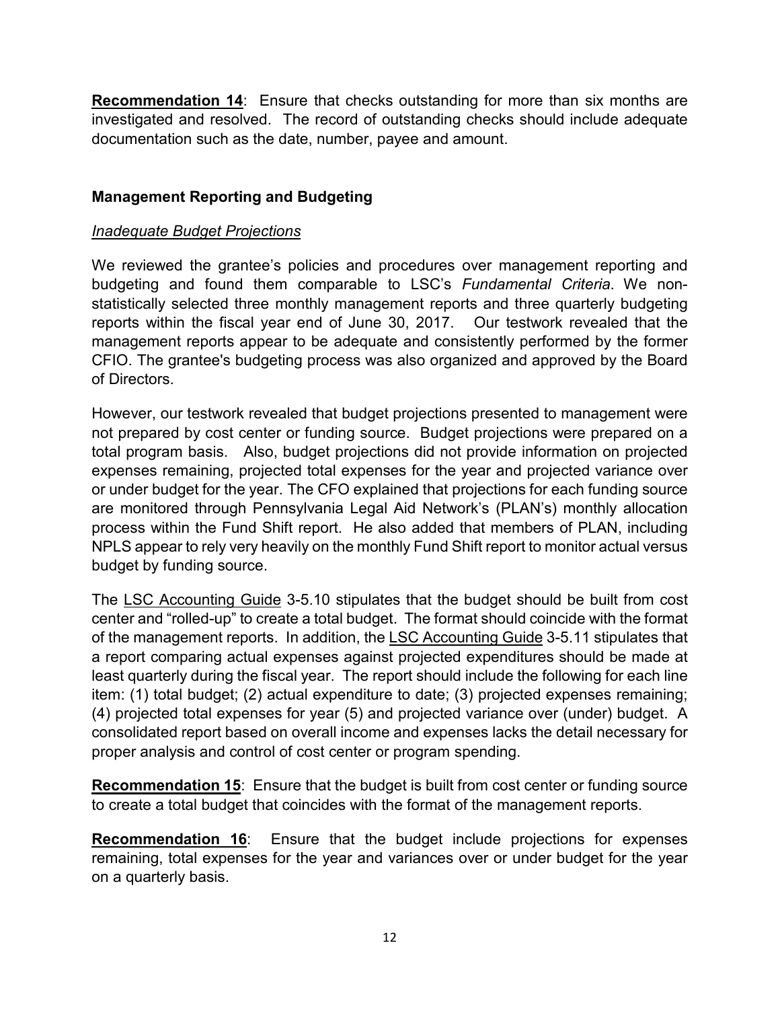<span id="page-15-0"></span>**Recommendation 14**: Ensure that checks outstanding for more than six months are investigated and resolved. The record of outstanding checks should include adequate documentation such as the date, number, payee and amount.

# <span id="page-15-1"></span>**Management Reporting and Budgeting**

#### *Inadequate Budget Projections*

We reviewed the grantee's policies and procedures over management reporting and budgeting and found them comparable to LSC's *Fundamental Criteria*. We nonstatistically selected three monthly management reports and three quarterly budgeting reports within the fiscal year end of June 30, 2017. Our testwork revealed that the management reports appear to be adequate and consistently performed by the former CFIO. The grantee's budgeting process was also organized and approved by the Board of Directors.

However, our testwork revealed that budget projections presented to management were not prepared by cost center or funding source. Budget projections were prepared on a total program basis. Also, budget projections did not provide information on projected expenses remaining, projected total expenses for the year and projected variance over or under budget for the year. The CFO explained that projections for each funding source are monitored through Pennsylvania Legal Aid Network's (PLAN's) monthly allocation process within the Fund Shift report. He also added that members of PLAN, including NPLS appear to rely very heavily on the monthly Fund Shift report to monitor actual versus budget by funding source.

The LSC Accounting Guide 3-5.10 stipulates that the budget should be built from cost center and "rolled-up" to create a total budget. The format should coincide with the format of the management reports. In addition, the LSC Accounting Guide 3-5.11 stipulates that a report comparing actual expenses against projected expenditures should be made at least quarterly during the fiscal year. The report should include the following for each line item: (1) total budget; (2) actual expenditure to date; (3) projected expenses remaining; (4) projected total expenses for year (5) and projected variance over (under) budget. A consolidated report based on overall income and expenses lacks the detail necessary for proper analysis and control of cost center or program spending.

<span id="page-15-2"></span>**Recommendation 15:** Ensure that the budget is built from cost center or funding source to create a total budget that coincides with the format of the management reports.

<span id="page-15-3"></span>**Recommendation 16**: Ensure that the budget include projections for expenses remaining, total expenses for the year and variances over or under budget for the year on a quarterly basis.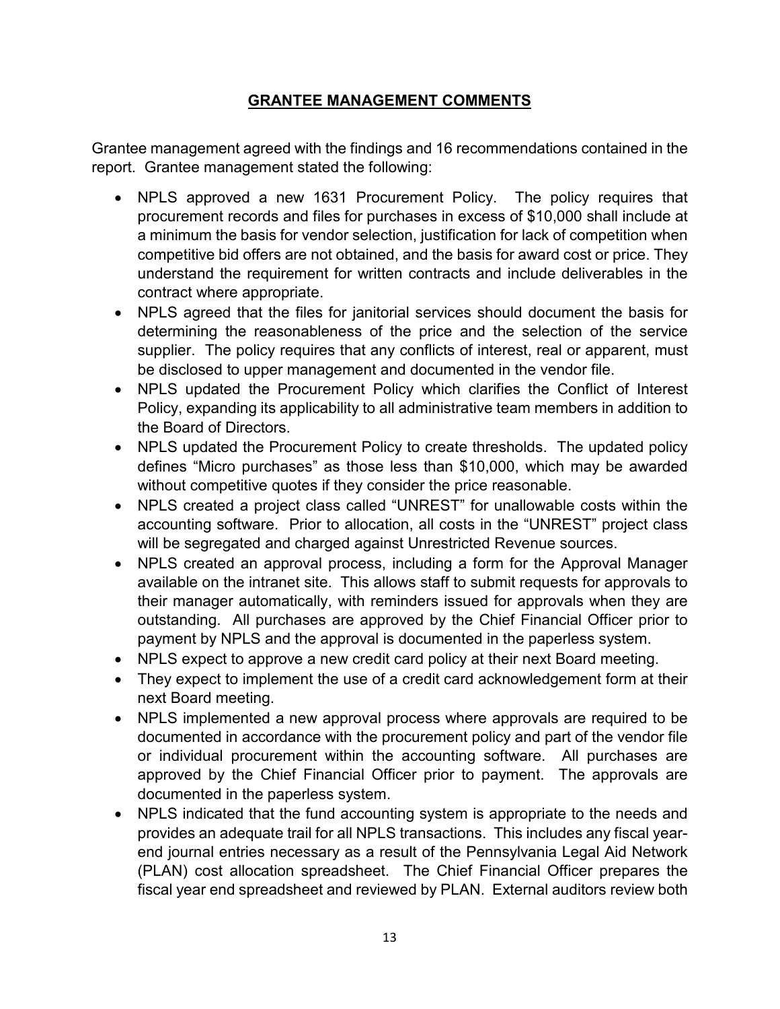# **GRANTEE MANAGEMENT COMMENTS**

<span id="page-16-0"></span>Grantee management agreed with the findings and 16 recommendations contained in the report. Grantee management stated the following:

- NPLS approved a new 1631 Procurement Policy. The policy requires that procurement records and files for purchases in excess of \$10,000 shall include at a minimum the basis for vendor selection, justification for lack of competition when competitive bid offers are not obtained, and the basis for award cost or price. They understand the requirement for written contracts and include deliverables in the contract where appropriate.
- NPLS agreed that the files for janitorial services should document the basis for determining the reasonableness of the price and the selection of the service supplier. The policy requires that any conflicts of interest, real or apparent, must be disclosed to upper management and documented in the vendor file.
- NPLS updated the Procurement Policy which clarifies the Conflict of Interest Policy, expanding its applicability to all administrative team members in addition to the Board of Directors.
- NPLS updated the Procurement Policy to create thresholds. The updated policy defines "Micro purchases" as those less than \$10,000, which may be awarded without competitive quotes if they consider the price reasonable.
- NPLS created a project class called "UNREST" for unallowable costs within the accounting software. Prior to allocation, all costs in the "UNREST" project class will be segregated and charged against Unrestricted Revenue sources.
- NPLS created an approval process, including a form for the Approval Manager available on the intranet site. This allows staff to submit requests for approvals to their manager automatically, with reminders issued for approvals when they are outstanding. All purchases are approved by the Chief Financial Officer prior to payment by NPLS and the approval is documented in the paperless system.
- NPLS expect to approve a new credit card policy at their next Board meeting.
- They expect to implement the use of a credit card acknowledgement form at their next Board meeting.
- NPLS implemented a new approval process where approvals are required to be documented in accordance with the procurement policy and part of the vendor file or individual procurement within the accounting software. All purchases are approved by the Chief Financial Officer prior to payment. The approvals are documented in the paperless system.
- NPLS indicated that the fund accounting system is appropriate to the needs and provides an adequate trail for all NPLS transactions. This includes any fiscal yearend journal entries necessary as a result of the Pennsylvania Legal Aid Network (PLAN) cost allocation spreadsheet. The Chief Financial Officer prepares the fiscal year end spreadsheet and reviewed by PLAN. External auditors review both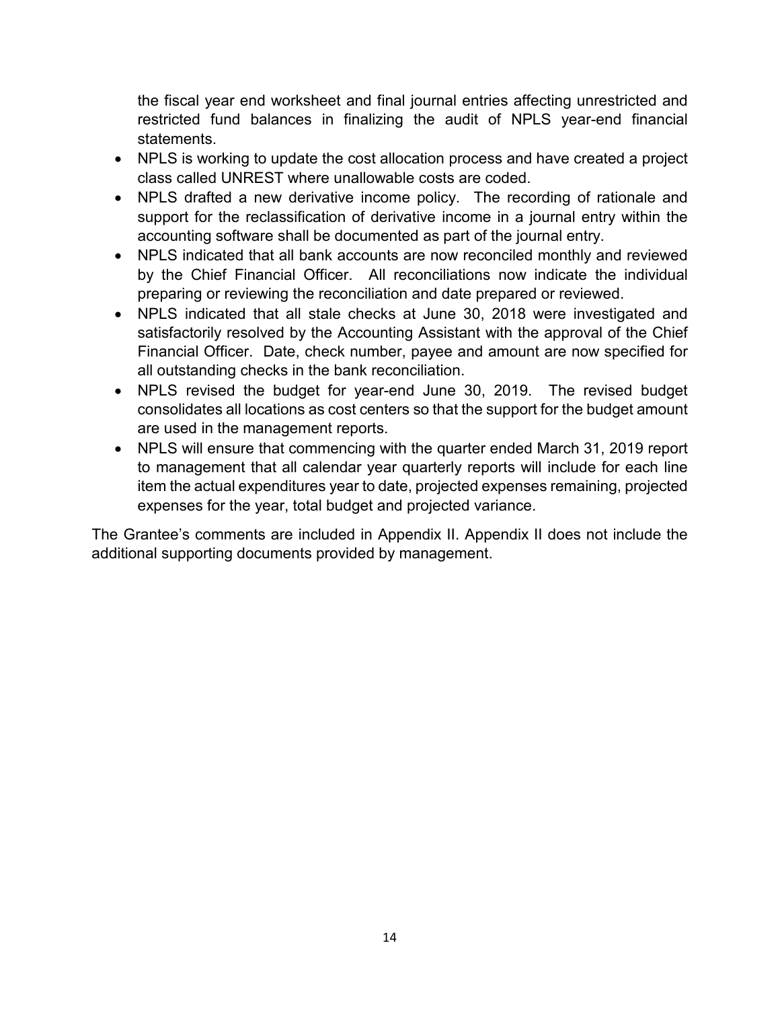the fiscal year end worksheet and final journal entries affecting unrestricted and restricted fund balances in finalizing the audit of NPLS year-end financial statements.

- NPLS is working to update the cost allocation process and have created a project class called UNREST where unallowable costs are coded.
- NPLS drafted a new derivative income policy. The recording of rationale and support for the reclassification of derivative income in a journal entry within the accounting software shall be documented as part of the journal entry.
- NPLS indicated that all bank accounts are now reconciled monthly and reviewed by the Chief Financial Officer. All reconciliations now indicate the individual preparing or reviewing the reconciliation and date prepared or reviewed.
- NPLS indicated that all stale checks at June 30, 2018 were investigated and satisfactorily resolved by the Accounting Assistant with the approval of the Chief Financial Officer. Date, check number, payee and amount are now specified for all outstanding checks in the bank reconciliation.
- NPLS revised the budget for year-end June 30, 2019. The revised budget consolidates all locations as cost centers so that the support for the budget amount are used in the management reports.
- NPLS will ensure that commencing with the quarter ended March 31, 2019 report to management that all calendar year quarterly reports will include for each line item the actual expenditures year to date, projected expenses remaining, projected expenses for the year, total budget and projected variance.

The Grantee's comments are included in Appendix II. Appendix II does not include the additional supporting documents provided by management.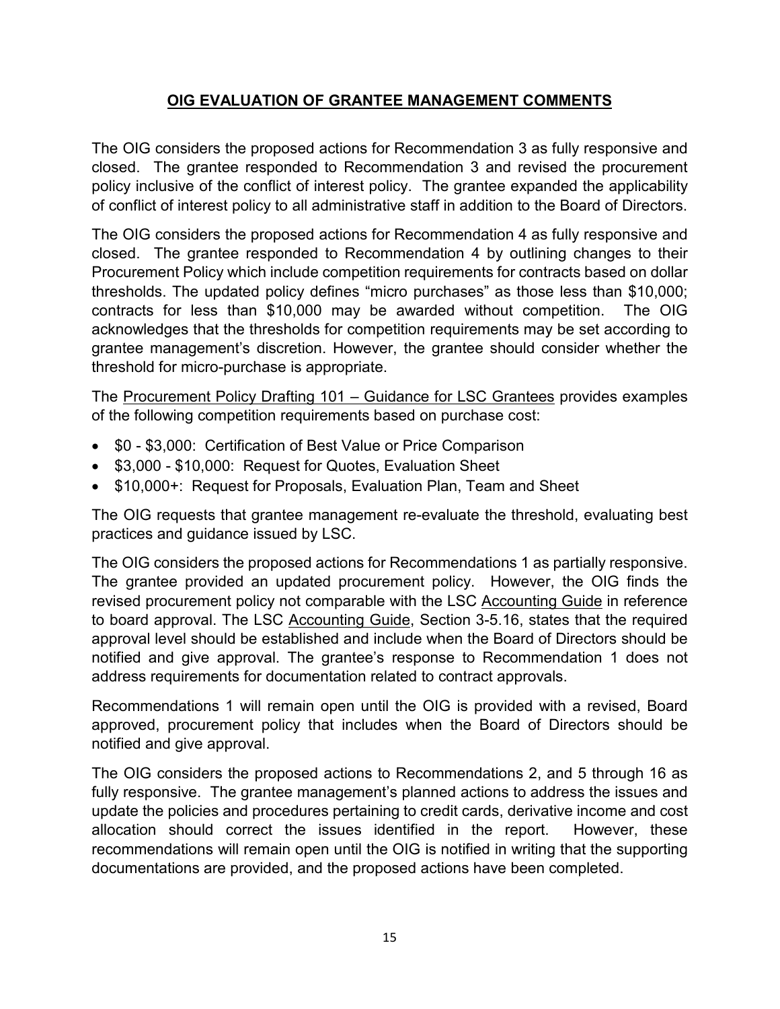# **OIG EVALUATION OF GRANTEE MANAGEMENT COMMENTS**

<span id="page-18-0"></span>The OIG considers the proposed actions for Recommendation 3 as fully responsive and closed. The grantee responded to Recommendation 3 and revised the procurement policy inclusive of the conflict of interest policy. The grantee expanded the applicability of conflict of interest policy to all administrative staff in addition to the Board of Directors.

The OIG considers the proposed actions for Recommendation 4 as fully responsive and closed. The grantee responded to Recommendation 4 by outlining changes to their Procurement Policy which include competition requirements for contracts based on dollar thresholds. The updated policy defines "micro purchases" as those less than \$10,000; contracts for less than \$10,000 may be awarded without competition. The OIG acknowledges that the thresholds for competition requirements may be set according to grantee management's discretion. However, the grantee should consider whether the threshold for micro-purchase is appropriate.

The Procurement Policy Drafting 101 – Guidance for LSC Grantees provides examples of the following competition requirements based on purchase cost:

- \$0 \$3,000: Certification of Best Value or Price Comparison
- \$3,000 \$10,000: Request for Quotes, Evaluation Sheet
- \$10,000+: Request for Proposals, Evaluation Plan, Team and Sheet

The OIG requests that grantee management re-evaluate the threshold, evaluating best practices and guidance issued by LSC.

The OIG considers the proposed actions for Recommendations 1 as partially responsive. The grantee provided an updated procurement policy. However, the OIG finds the revised procurement policy not comparable with the LSC Accounting Guide in reference to board approval. The LSC Accounting Guide, Section 3-5.16, states that the required approval level should be established and include when the Board of Directors should be notified and give approval. The grantee's response to Recommendation 1 does not address requirements for documentation related to contract approvals.

Recommendations 1 will remain open until the OIG is provided with a revised, Board approved, procurement policy that includes when the Board of Directors should be notified and give approval.

The OIG considers the proposed actions to Recommendations 2, and 5 through 16 as fully responsive. The grantee management's planned actions to address the issues and update the policies and procedures pertaining to credit cards, derivative income and cost allocation should correct the issues identified in the report. However, these recommendations will remain open until the OIG is notified in writing that the supporting documentations are provided, and the proposed actions have been completed.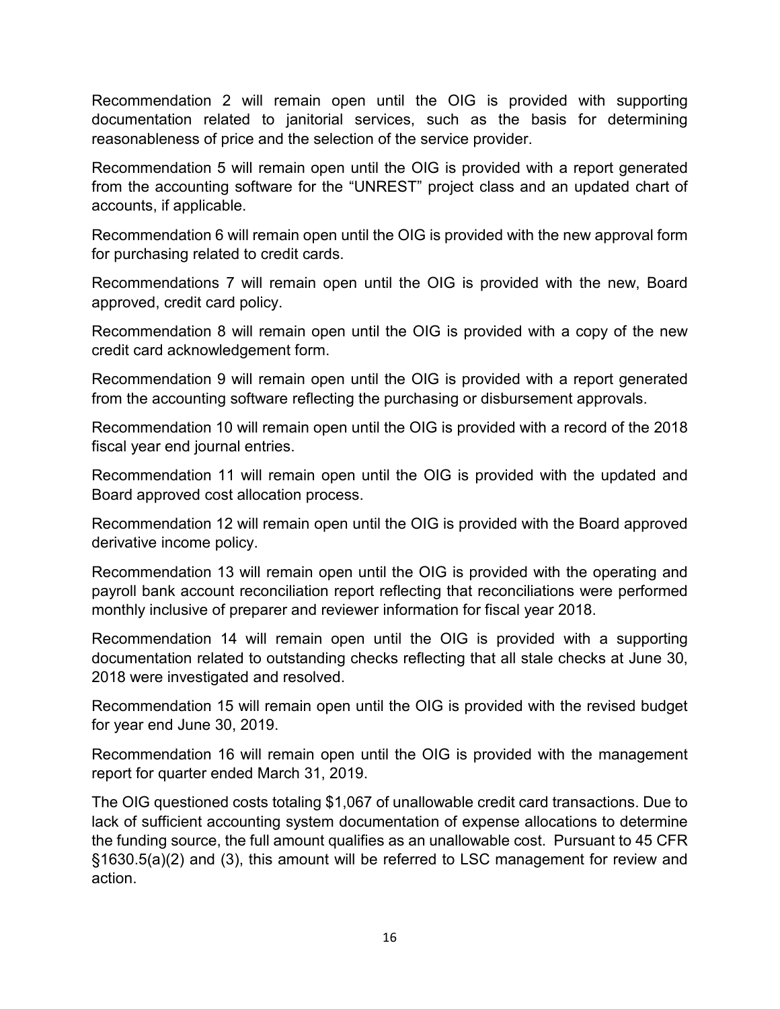Recommendation 2 will remain open until the OIG is provided with supporting documentation related to janitorial services, such as the basis for determining reasonableness of price and the selection of the service provider.

Recommendation 5 will remain open until the OIG is provided with a report generated from the accounting software for the "UNREST" project class and an updated chart of accounts, if applicable.

Recommendation 6 will remain open until the OIG is provided with the new approval form for purchasing related to credit cards.

Recommendations 7 will remain open until the OIG is provided with the new, Board approved, credit card policy.

Recommendation 8 will remain open until the OIG is provided with a copy of the new credit card acknowledgement form.

Recommendation 9 will remain open until the OIG is provided with a report generated from the accounting software reflecting the purchasing or disbursement approvals.

Recommendation 10 will remain open until the OIG is provided with a record of the 2018 fiscal year end journal entries.

Recommendation 11 will remain open until the OIG is provided with the updated and Board approved cost allocation process.

Recommendation 12 will remain open until the OIG is provided with the Board approved derivative income policy.

Recommendation 13 will remain open until the OIG is provided with the operating and payroll bank account reconciliation report reflecting that reconciliations were performed monthly inclusive of preparer and reviewer information for fiscal year 2018.

Recommendation 14 will remain open until the OIG is provided with a supporting documentation related to outstanding checks reflecting that all stale checks at June 30, 2018 were investigated and resolved.

Recommendation 15 will remain open until the OIG is provided with the revised budget for year end June 30, 2019.

Recommendation 16 will remain open until the OIG is provided with the management report for quarter ended March 31, 2019.

<span id="page-19-0"></span>The OIG questioned costs totaling \$1,067 of unallowable credit card transactions. Due to lack of sufficient accounting system documentation of expense allocations to determine the funding source, the full amount qualifies as an unallowable cost. Pursuant to 45 CFR §1630.5(a)(2) and (3), this amount will be referred to LSC management for review and action.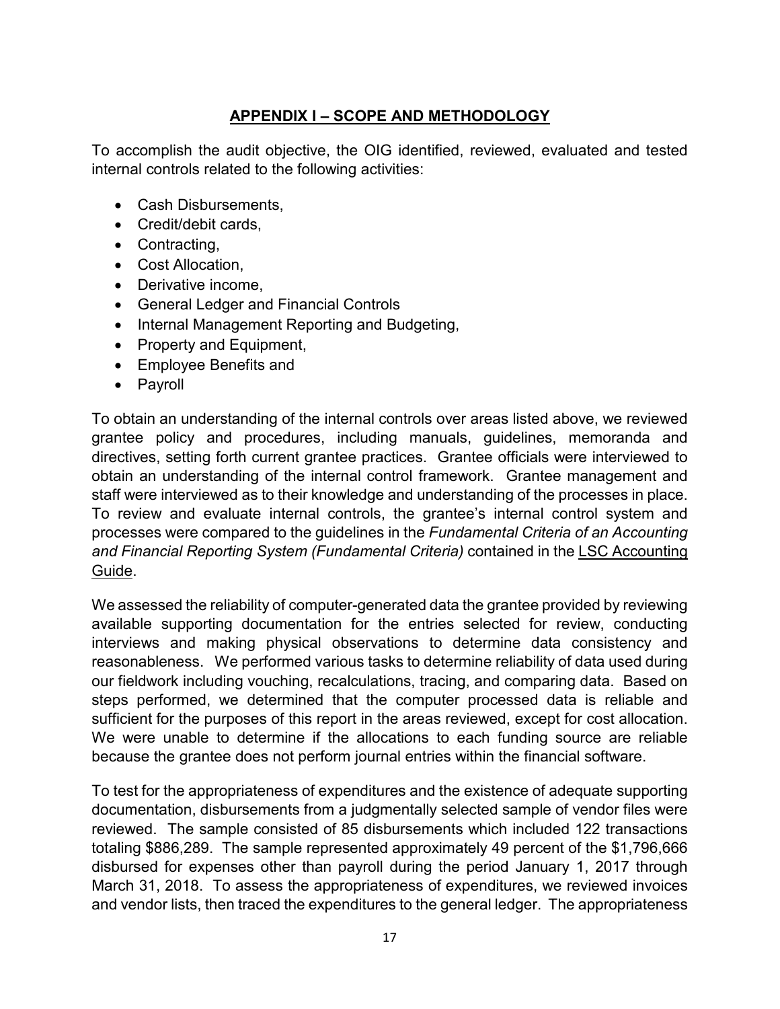# **APPENDIX I – SCOPE AND METHODOLOGY**

To accomplish the audit objective, the OIG identified, reviewed, evaluated and tested internal controls related to the following activities:

- Cash Disbursements,
- Credit/debit cards,
- Contracting,
- Cost Allocation,
- Derivative income,
- General Ledger and Financial Controls
- Internal Management Reporting and Budgeting,
- Property and Equipment,
- Employee Benefits and
- Payroll

To obtain an understanding of the internal controls over areas listed above, we reviewed grantee policy and procedures, including manuals, guidelines, memoranda and directives, setting forth current grantee practices. Grantee officials were interviewed to obtain an understanding of the internal control framework. Grantee management and staff were interviewed as to their knowledge and understanding of the processes in place. To review and evaluate internal controls, the grantee's internal control system and processes were compared to the guidelines in the *Fundamental Criteria of an Accounting and Financial Reporting System (Fundamental Criteria)* contained in the LSC Accounting Guide.

We assessed the reliability of computer-generated data the grantee provided by reviewing available supporting documentation for the entries selected for review, conducting interviews and making physical observations to determine data consistency and reasonableness. We performed various tasks to determine reliability of data used during our fieldwork including vouching, recalculations, tracing, and comparing data. Based on steps performed, we determined that the computer processed data is reliable and sufficient for the purposes of this report in the areas reviewed, except for cost allocation. We were unable to determine if the allocations to each funding source are reliable because the grantee does not perform journal entries within the financial software.

To test for the appropriateness of expenditures and the existence of adequate supporting documentation, disbursements from a judgmentally selected sample of vendor files were reviewed. The sample consisted of 85 disbursements which included 122 transactions totaling \$886,289. The sample represented approximately 49 percent of the \$1,796,666 disbursed for expenses other than payroll during the period January 1, 2017 through March 31, 2018. To assess the appropriateness of expenditures, we reviewed invoices and vendor lists, then traced the expenditures to the general ledger. The appropriateness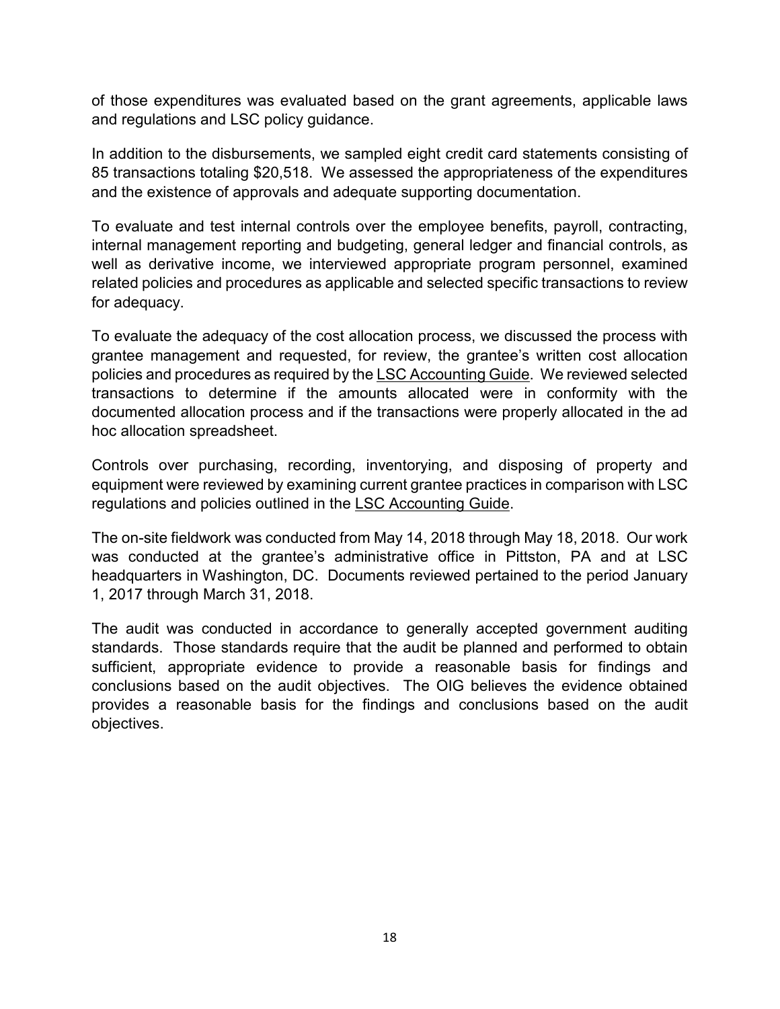of those expenditures was evaluated based on the grant agreements, applicable laws and regulations and LSC policy guidance.

In addition to the disbursements, we sampled eight credit card statements consisting of 85 transactions totaling \$20,518. We assessed the appropriateness of the expenditures and the existence of approvals and adequate supporting documentation.

To evaluate and test internal controls over the employee benefits, payroll, contracting, internal management reporting and budgeting, general ledger and financial controls, as well as derivative income, we interviewed appropriate program personnel, examined related policies and procedures as applicable and selected specific transactions to review for adequacy.

To evaluate the adequacy of the cost allocation process, we discussed the process with grantee management and requested, for review, the grantee's written cost allocation policies and procedures as required by the LSC Accounting Guide. We reviewed selected transactions to determine if the amounts allocated were in conformity with the documented allocation process and if the transactions were properly allocated in the ad hoc allocation spreadsheet.

Controls over purchasing, recording, inventorying, and disposing of property and equipment were reviewed by examining current grantee practices in comparison with LSC regulations and policies outlined in the LSC Accounting Guide.

The on-site fieldwork was conducted from May 14, 2018 through May 18, 2018. Our work was conducted at the grantee's administrative office in Pittston, PA and at LSC headquarters in Washington, DC. Documents reviewed pertained to the period January 1, 2017 through March 31, 2018.

The audit was conducted in accordance to generally accepted government auditing standards. Those standards require that the audit be planned and performed to obtain sufficient, appropriate evidence to provide a reasonable basis for findings and conclusions based on the audit objectives. The OIG believes the evidence obtained provides a reasonable basis for the findings and conclusions based on the audit objectives.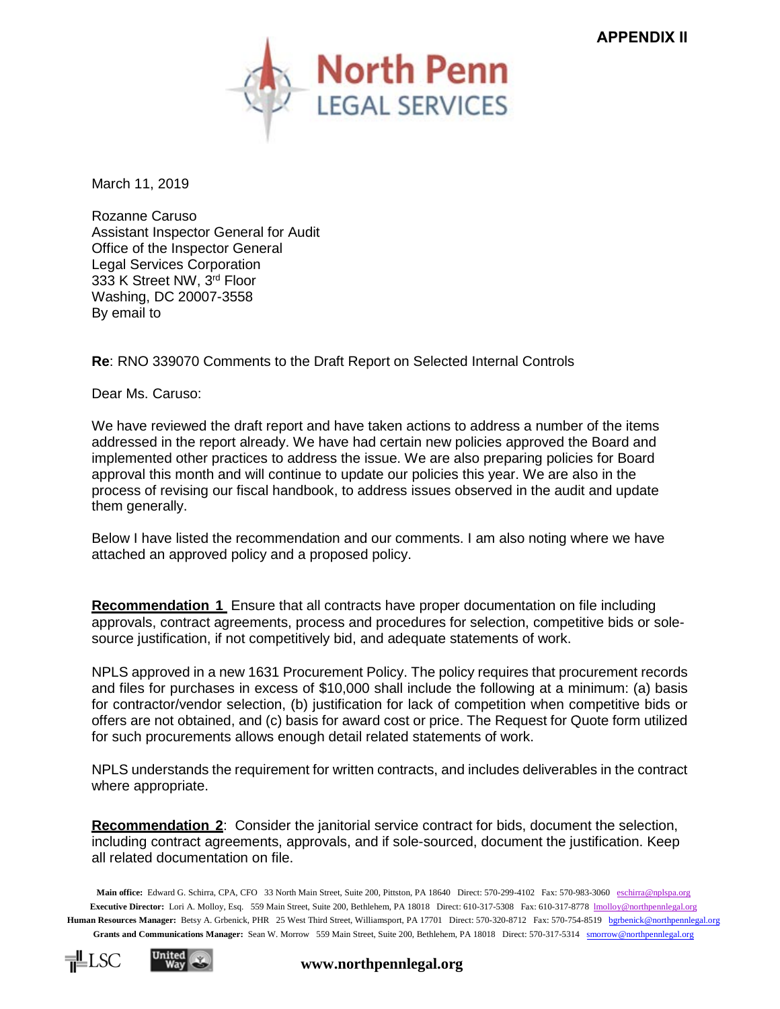

March 11, 2019

Rozanne Caruso Assistant Inspector General for Audit Office of the Inspector General Legal Services Corporation 333 K Street NW, 3rd Floor Washing, DC 20007-3558 By email to

**Re**: RNO 339070 Comments to the Draft Report on Selected Internal Controls

Dear Ms. Caruso:

We have reviewed the draft report and have taken actions to address a number of the items addressed in the report already. We have had certain new policies approved the Board and implemented other practices to address the issue. We are also preparing policies for Board approval this month and will continue to update our policies this year. We are also in the process of revising our fiscal handbook, to address issues observed in the audit and update them generally.

Below I have listed the recommendation and our comments. I am also noting where we have attached an approved policy and a proposed policy.

**Recommendation 1** Ensure that all contracts have proper documentation on file including approvals, contract agreements, process and procedures for selection, competitive bids or solesource justification, if not competitively bid, and adequate statements of work.

NPLS approved in a new 1631 Procurement Policy. The policy requires that procurement records and files for purchases in excess of \$10,000 shall include the following at a minimum: (a) basis for contractor/vendor selection, (b) justification for lack of competition when competitive bids or offers are not obtained, and (c) basis for award cost or price. The Request for Quote form utilized for such procurements allows enough detail related statements of work.

NPLS understands the requirement for written contracts, and includes deliverables in the contract where appropriate.

**Recommendation 2**: Consider the janitorial service contract for bids, document the selection, including contract agreements, approvals, and if sole-sourced, document the justification. Keep all related documentation on file.

**Main office:** Edward G. Schirra, CPA, CFO 33 North Main Street, Suite 200, Pittston, PA 18640 Direct: 570-299-4102 Fax: 570-983-3060 [eschirra@nplspa.org](mailto:eschirra@nplspa.org) Executive Director: Lori A. Molloy, Esq. 559 Main Street, Suite 200, Bethlehem, PA 18018 Direct: 610-317-5308 Fax: 610-317-8778 [lmolloy@northpennlegal.org](mailto:lmolloy@northpennlegal.org) **Human Resources Manager:** Betsy A. Grbenick, PHR 25 West Third Street, Williamsport, PA 17701 Direct: 570-320-8712 Fax: 570-754-8519 [bgrbenick@northpennlegal.org](mailto:bgrbenick@northpennlegal.org) **Grants and Communications Manager:** Sean W. Morrow 559 Main Street, Suite 200, Bethlehem, PA 18018 Direct: 570-317-5314 [smorrow@northpennlegal.org](mailto:anorton@northpennlegal.org)



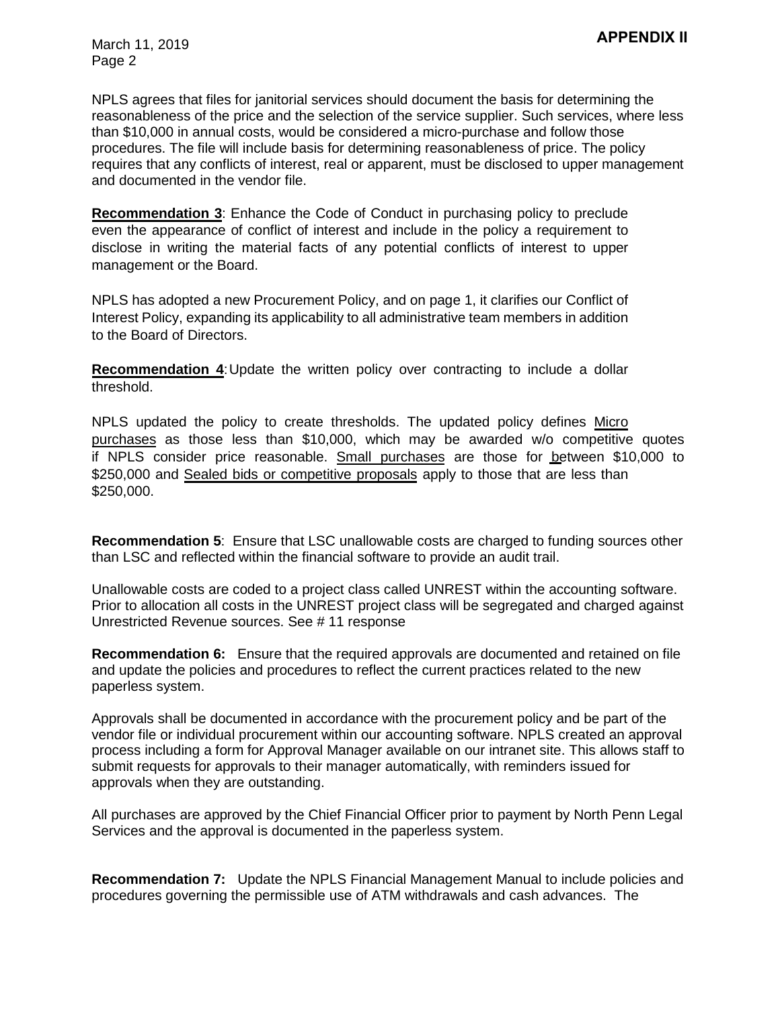March 11, 2019 Page 2

NPLS agrees that files for janitorial services should document the basis for determining the reasonableness of the price and the selection of the service supplier. Such services, where less than \$10,000 in annual costs, would be considered a micro-purchase and follow those procedures. The file will include basis for determining reasonableness of price. The policy requires that any conflicts of interest, real or apparent, must be disclosed to upper management and documented in the vendor file.

**Recommendation 3**: Enhance the Code of Conduct in purchasing policy to preclude even the appearance of conflict of interest and include in the policy a requirement to disclose in writing the material facts of any potential conflicts of interest to upper management or the Board.

NPLS has adopted a new Procurement Policy, and on page 1, it clarifies our Conflict of Interest Policy, expanding its applicability to all administrative team members in addition to the Board of Directors.

**Recommendation 4**: Update the written policy over contracting to include a dollar threshold.

NPLS updated the policy to create thresholds. The updated policy defines Micro purchases as those less than \$10,000, which may be awarded w/o competitive quotes if NPLS consider price reasonable. Small purchases are those for between \$10,000 to \$250,000 and Sealed bids or competitive proposals apply to those that are less than \$250,000.

**Recommendation 5**: Ensure that LSC unallowable costs are charged to funding sources other than LSC and reflected within the financial software to provide an audit trail.

Unallowable costs are coded to a project class called UNREST within the accounting software. Prior to allocation all costs in the UNREST project class will be segregated and charged against Unrestricted Revenue sources. See # 11 response

**Recommendation 6:** Ensure that the required approvals are documented and retained on file and update the policies and procedures to reflect the current practices related to the new paperless system.

Approvals shall be documented in accordance with the procurement policy and be part of the vendor file or individual procurement within our accounting software. NPLS created an approval process including a form for Approval Manager available on our intranet site. This allows staff to submit requests for approvals to their manager automatically, with reminders issued for approvals when they are outstanding.

All purchases are approved by the Chief Financial Officer prior to payment by North Penn Legal Services and the approval is documented in the paperless system.

**Recommendation 7:** Update the NPLS Financial Management Manual to include policies and procedures governing the permissible use of ATM withdrawals and cash advances. The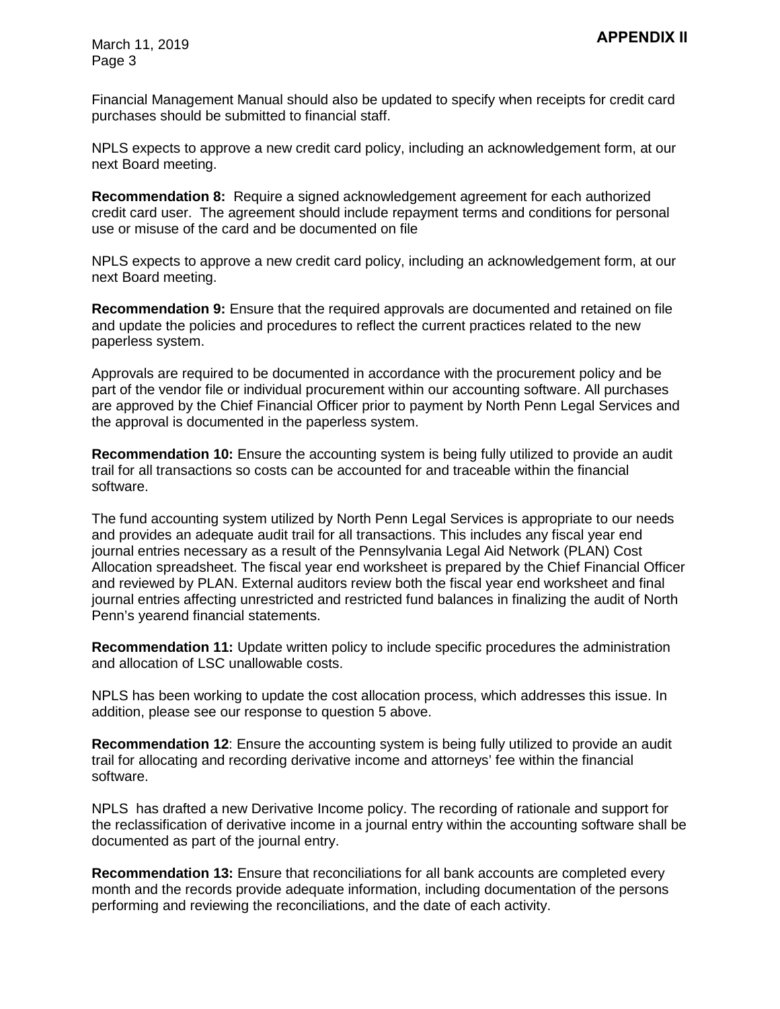Financial Management Manual should also be updated to specify when receipts for credit card purchases should be submitted to financial staff.

NPLS expects to approve a new credit card policy, including an acknowledgement form, at our next Board meeting.

**Recommendation 8:** Require a signed acknowledgement agreement for each authorized credit card user. The agreement should include repayment terms and conditions for personal use or misuse of the card and be documented on file

NPLS expects to approve a new credit card policy, including an acknowledgement form, at our next Board meeting.

**Recommendation 9:** Ensure that the required approvals are documented and retained on file and update the policies and procedures to reflect the current practices related to the new paperless system.

Approvals are required to be documented in accordance with the procurement policy and be part of the vendor file or individual procurement within our accounting software. All purchases are approved by the Chief Financial Officer prior to payment by North Penn Legal Services and the approval is documented in the paperless system.

**Recommendation 10:** Ensure the accounting system is being fully utilized to provide an audit trail for all transactions so costs can be accounted for and traceable within the financial software.

The fund accounting system utilized by North Penn Legal Services is appropriate to our needs and provides an adequate audit trail for all transactions. This includes any fiscal year end journal entries necessary as a result of the Pennsylvania Legal Aid Network (PLAN) Cost Allocation spreadsheet. The fiscal year end worksheet is prepared by the Chief Financial Officer and reviewed by PLAN. External auditors review both the fiscal year end worksheet and final journal entries affecting unrestricted and restricted fund balances in finalizing the audit of North Penn's yearend financial statements.

**Recommendation 11:** Update written policy to include specific procedures the administration and allocation of LSC unallowable costs.

NPLS has been working to update the cost allocation process, which addresses this issue. In addition, please see our response to question 5 above.

**Recommendation 12**: Ensure the accounting system is being fully utilized to provide an audit trail for allocating and recording derivative income and attorneys' fee within the financial software.

NPLS has drafted a new Derivative Income policy. The recording of rationale and support for the reclassification of derivative income in a journal entry within the accounting software shall be documented as part of the journal entry.

**Recommendation 13:** Ensure that reconciliations for all bank accounts are completed every month and the records provide adequate information, including documentation of the persons performing and reviewing the reconciliations, and the date of each activity.